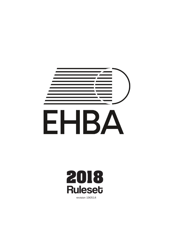



revision 190514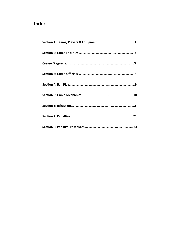# **Index**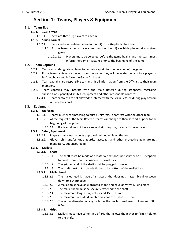# **Section 1: Teams, Players & Equipment**

## **1.1. Team Size**

## **1.1.1. 3v3 Format**

1.1.1.1. There are three (3) players to a team.

## **1.1.2. Squad Format**

- 1.1.2.1. There can be anywhere between four (4) to six (6) players to a team.
	- 1.1.2.1.1. A team can only have a maximum of five (5) available players at any given game.
		- 1.1.2.1.1.1. Players must be selected before the game begins and the team must inform the Game Assistant prior to the beginning of the game.

## **1.2. Team Captains**

- 1.2.1. Teams must designate a player to be their captain for the duration of the game.
- 1.2.2. If the team captain is expelled from the game, they will delegate the task to a player of his/her choice and inform the Game Assistant.
- 1.2.3. Team captains are responsible to transmit all information from the Officials to their team members.
- 1.2.4. Team captains may interact with the Main Referee during stoppages regarding, substitutions, penalty disputes, equipment and other reasonable concerns.
	- 1.2.4.1. Team captains are not allowed to interact with the Main Referee during play or from outside the court.

## **1.3. Equipment**

## **1.3.1. Uniforms**

- 1.3.1.1. Teams must wear matching coloured uniforms, in contrast with the other team.
- 1.3.1.2. At the request of the Main Referee, teams will change to their second kit prior to the beginning of the game.
	- 1.3.1.2.1. If a team does not have a second kit, they may be asked to wear a vest.

## **1.3.2. Safety Equipment**

- 1.3.2.1. Players must wear a sports approved helmet while on the court.
- 1.3.2.2. Gloves, shin and/or knee guards, facecages and other protective gear are not mandatory, but encouraged.

## **1.3.3. Mallets**

## **1.3.3.1. Shaft**

- 1.3.3.1.1. The shaft must be made of a material that does not splinter or is susceptible to break from what is considered normal play.
- 1.3.3.1.2. The gripped end of the shaft must be plugged or sealed.
- 1.3.3.1.3. The shaft must not protrude through the bottom of the mallet head.

## **1.3.3.2. Mallet Head**

- 1.3.3.2.1. The mallet head is made of a material that does not shatter, break or wears down to a sharp edge.
- 1.3.3.2.2. A mallet must have an elongated shape and have only two (2) end‐sides.
- 1.3.3.2.3. The mallet head must be securely fastened to the shaft.
- 1.3.3.2.4. The maximum length may not exceed 150 ± 1.0mm.
- 1.3.3.2.5. The maximum outside diameter may not exceed 65 ± 0.5mm.
- 1.3.3.2.6. The outer diameter of any hole on the mallet head may not exceed 58  $\pm$ 0.5mm.

## **1.3.3.3. Grips**

1.3.3.3.1. Mallets must have some type of grip that allows the player to firmly hold on to the shaft.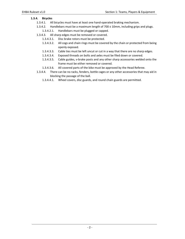#### **1.3.4. Bicycles**

- 1.3.4.1. All bicycles must have at least one hand‐operated braking mechanism.
- 1.3.4.2. Handlebars must be a maximum length of 700 ± 10mm, including grips and plugs.
	- 1.3.4.2.1. Handlebars must be plugged or capped.
- 1.3.4.3. All sharp edges must be removed or covered.
	- 1.3.4.3.1. Disc brake rotors must be protected.
	- 1.3.4.3.2. All cogs and chain rings must be covered by the chain or protected from being openly exposed.
	- 1.3.4.3.3. Cable ties must be left uncut or cut in a way that there are no sharp edges.
	- 1.3.4.3.4. Exposed threads on bolts and axles must be filed down or covered.
	- 1.3.4.3.5. Cable guides, v‐brake posts and any other sharp accessories welded onto the frame must be either removed or covered.
	- 1.3.4.3.6. All covered parts of the bike must be approved by the Head Referee.
- 1.3.4.4. There can be no racks, fenders, bottle cages or any other accessories that may aid in blocking the passage of the ball.
	- 1.3.4.4.1. Wheel covers, disc guards, and round chain guards are permitted.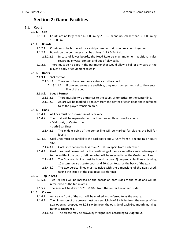# **Section 2: Game Facilities**

# **2.1. Court**

## **2.1.1. Size**

2.1.1.1. Courts are no larger than  $45 \pm 0.5$ m by  $25 \pm 0.5$ m and no smaller than  $35 \pm 0.5$ m by  $18 \pm 0.5$ m.

## **2.1.2. Boards**

- 2.1.2.1. Courts must be bordered by a solid perimeter that is securely held together.
- 2.1.2.2. Boards on the perimeter must be at least  $1.2 \pm 0.2$ m tall.
	- 2.1.2.2.1. In case of lower boards, the Head Referee may implement additional rules regarding physical contact and out‐of‐play balls.
- 2.1.2.3. There must be no gaps in the perimeter that would allow a ball or any part of the player's body or equipment to go in.

## **2.1.3. Doors**

## **2.1.3.1. 3v3 Format**

- 2.1.3.1.1. There must be at least one entrance to the court.
	- 2.1.3.1.1.1. If two entrances are available, they must be symmetrical to the center line of the court.

## **2.1.3.2. Squad Format**

- 2.1.3.2.1. There must be two entrances to the court, symmetrical to the center line.
- 2.1.3.2.2. An arc will be marked  $3 \pm 0.25$ m from the center of each door and is referred to as the player transition area.

## **2.1.4. Lines**

- 2.1.4.1. All lines must be a maximum of 5cm wide.
- 2.1.4.2. The court will be segmented across its entire width in three locations:
	- ‐ Mid court, or Center Line
	- ‐ both Goal Lines
	- 2.1.4.2.1. The middle point of the center line will be marked for placing the ball for jousts.
- 2.1.4.3. Goal Lines must be parallel to the backboard and 3‐4.5m from it, depending on court size.
	- 2.1.4.3.1. Goal Lines cannot be less than  $29 \pm 0.5$ m apart from each other.
- 2.1.4.4. Goal Lines must be marked for the positioning of the Goalmouths, centered in regard to the width of the court, defining what will be referred to as the Goalmouth Line.
	- 2.1.4.4.1. The Goalmouth Line must be bound by two (2) perpendicular lines extending 10 ± 1cm towards centercourt and 20 ±1cm towards the back of the goal.
	- 2.1.4.4.2. The two vertical lines must coincide with the dimensions of the goals used, taking the inside of the goalposts as reference.

## **2.1.5. Tap‐in Area**

- 2.1.5.1. Two (2) lines will be marked on the boards on both sides of the court and will be referred to as the tap-in area.
- 2.1.5.2. The lines will be drawn  $0.75 \pm 0.10$ m from the center line at each side.

# **2.1.6. Crease**

- 2.1.6.1. An area in front of the goal will be marked and referred to as the crease.
- 2.1.6.2. The dimension of the crease must be a semicircle of  $3 \pm 0.1$ m from the center of the goal opening, cropped to  $1.25 \pm 0.1$ m from the outside of each Goalmouth marking. Refer to **Diagram 1**.
	- 2.1.6.2.1. The crease may be drawn by straight lines according to **Diagram 2**.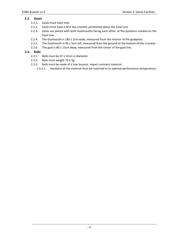# **2.2. Goals**

- 2.2.1. Goals must have nets.
- 2.2.2. Goals must have a firm top crossbar positioned above the Goal Line.
- 2.2.3. Goals are placed with both Goalmouths facing each other, at the positions marked on the Goal Line.
- 2.2.4. The Goalmouth is 185 ± 5cm wide, measured from the interior of the goalposts.
- 2.2.5. The Goalmouth is 90  $\pm$  5cm tall, measured from the ground to the bottom of the crossbar.
- 2.2.6. The goal is  $80 \pm 15$ cm deep, measured from the center of the goal line.

## **2.3. Balls**

- 2.3.1. Balls must be  $67 \pm 2$ mm in diameter.
- 2.3.2. Balls must weight  $70 \pm 5$ g.
- 2.3.3. Balls must be made of a low‐bounce, impact resistant material.
	- 2.3.3.1. Hardness of the material must be matched to its optimal performance temperature.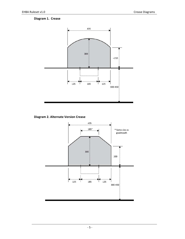# **Diagram 1. Crease**



**Diagram 2. Alternate Version Crease** 

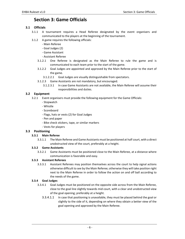# **Section 3: Game Officials**

# **3.1 Officials**

- 3.1.1 A tournament requires a Head Referee designated by the event organisers and communicated to the players at the beginning of the tournament.
- 3.1.2 A game requires the following officials:
	- ‐ Main Referee
	- ‐ Goal Judges (2)
	- ‐ Game Assistant
	- ‐ Assistant Referee
	- 3.1.2.1 One Referee is designated as the Main Referee to rule the game and is communicated to each team prior to the start of the game.
	- 3.1.2.2 Goal Judges are appointed and approved by the Main Referee prior to the start of the game.
		- 3.1.2.2.1 Goal Judges are visually distinguishable from spectators.
	- 3.1.2.3 Game Assistants are not mandatory, but encouraged.
		- 3.1.2.3.1 In case Game Assistants are not available, the Main Referee will assume their responsibilities and duties.

# **3.2 Equipment**

- 3.2.1 Event organisers must provide the following equipment for the Game Officials:
	- ‐ Stopwatch
	- ‐ Whistle
	- ‐ Scoreboard
	- ‐ Flags, hats or vests (2) for Goal Judges
	- ‐ Pen and paper
	- ‐ Bike check stickers, tape, or similar markers
	- ‐ Vests for players

# **3.3 Positioning**

# **3.3.1 Main Referee**

3.3.1.1 The Main Referee and Game Assistants must be positioned at half court, with a direct unobstructed view of the court, preferably at a height.

## **3.3.2 Game Assistants**

3.3.2.1 Game Assistants must be positioned close to the Main Referee, at a distance where communication is favorable and easy.

# **3.3.3 Assistant Referees**

3.3.3.1 Assistant Referees may position themselves across the court to help signal actions otherwise difficult to see by the Main Referee; otherwise they will take position right next to the Main Referee in order to follow the action on and off ball according to the needs of the game.

# **3.3.4 Goal Judges**

- 3.3.4.1 Goal Judges must be positioned on the opposite side across from the Main Referee, close to the goal line slightly towards mid court, with a clear and unobstructed view of the goal opening; preferably at a height.
	- 3.3.4.1.1 In case that positioning is unavailable, they must be placed behind the goal or slightly to the side of it, depending on where they obtain a better view of the goal opening and approved by the Main Referee.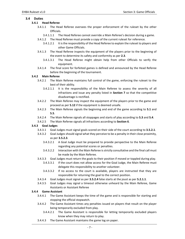## **3.4 Duties**

## **3.4.1 Head Referee**

- 3.4.1.1 The Head Referee oversees the proper enforcement of the ruleset by the other Officials.
	- 3.4.1.1.1 The Head Referee cannot override a Main Referee's decision during a game.
- 3.4.1.2 The Head Referee must provide a copy of the current ruleset for reference.
	- 3.4.1.2.1 It is the responsibility of the Head Referee to explain the ruleset to players and other Game Officials.
- 3.4.1.3 The Head Referee inspects the equipment of the players prior to the beginning of the event to determine its safety and conformity as per **2.3**.
	- 3.4.1.3.1 The Head Referee might obtain help from other Officials to verify the equipment.
- 3.4.1.4 The final score for forfeited games is defined and announced by the Head Referee before the beginning of the tournament.

#### **3.4.2 Main Referee**

- 3.4.2.1 The Main Referee maintains full control of the game, enforcing the ruleset to the best of their ability.
	- 3.4.2.1.1 It is the responsibility of the Main Referee to assess the severity of all infractions and issue any penalty listed in **Section 7** so that the competitive disadvantage is rectified.
- 3.4.2.2 The Main Referee may inspect the equipment of the players prior to the game and proceed as per **5.12** if the equipment is deemed unsafe.
- 3.4.2.3 The Main Referee signals the beginning and end of the game according to **5.1** and **5.5**.
- 3.4.2.4 The Main Referee signals all stoppages and starts of play according to **5.3** and **5.4**.
- 3.4.2.5 The Main Referee signals all infractions according to **Section 6**.

## **3.4.3 Goal Judges**

- 3.4.3.1 Goal Judges must signal goals scored on their side of the court according to **3.5.2.1**.
- 3.4.3.2 Goal Judges should signal what they perceive to be a penalty in their close proximity, as per **3.5.2.3**.
	- 3.4.3.2.1 A Goal Judge must be prepared to provide perspective to the Main Referee regarding any potential scores or penalties.
	- 3.4.3.2.2 Interaction with the Main Referee is strictly consultative and the final call must be made by the Main Referee.
- 3.4.3.3 Goal Judges must return the goals to their position if moved or toppled during play.
	- 3.4.3.3.1 If the court does not allow access for the Goal Judge, the Main Referee must delegate this responsibility to another volunteer.
	- 3.4.3.3.2 If no access to the court is available, players are instructed that they are responsible for returning the goal to the correct position.
- 3.4.3.4 Goal Judges must signal as per **3.5.2.4** false starts at the joust as per **5.2.1.1**.
- 3.4.3.5 Goal Judges may signal a timeout otherwise unheard by the Main Referee, Game Assistants or Assistant Referee

## **3.4.4 Game Assistant**

- 3.4.4.1 The Game Assistant keeps the time of the game and is responsible for starting and stopping the official stopwatch.
- 3.4.4.2 The Game Assistant times any penalties issued on players that result on the player being temporarily excluded from play.
	- 3.4.4.2.1 The Game Assistant is responsible for letting temporarily excluded players know when they may return to play.
- 3.4.4.3 The Game Assistant maintains the game log on paper.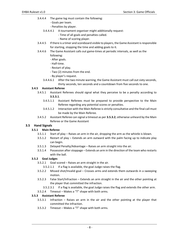- 3.4.4.4 The game log must contain the following:
	- ‐ Goals per team.
	- ‐ Penalties by player.
	- 3.4.4.4.1 A tournament organiser might additionally request:
		- ‐ Time of all goals and penalties called.
		- ‐ Name of scoring player.
- 3.4.4.5 If there is a timer and scoreboard visible to players, the Game Assistant is responsible for starting, stopping the time and adding goals to it.
- 3.4.4.6 The Game Assistant calls out game‐times at periodic intervals, as well as the following:
	- ‐ After goals.
	- ‐ Half‐time.
	- ‐ Restart of play.
	- ‐ Two (2) minutes from the end.
	- ‐ By player's request.
	- 3.4.4.6.1 After the two minute warning, the Game Assistant must call out sixty seconds, thirty seconds, ten seconds and a countdown from five seconds to one.

## **3.4.5 Assistant Referee**

- 3.4.5.1 Assistant Referees should signal what they perceive to be a penalty according to **3.5.3.1**.
	- 3.4.5.1.1 Assistant Referees must be prepared to provide perspective to the Main Referee regarding any potential scores or penalties.
	- 3.4.5.1.2 Interaction with the Main Referee is strictly consultative and the final call must be made by the Main Referee.
- 3.4.5.2 Assistant Referee can signal a timeout as per **3.5.3.2**, otherwise unheard by the Main Referee or the Game Assistant

# **3.5 Hand Signals**

## **3.5.1 Main Referee**

- 3.5.1.1 Start of play Raises an arm in the air, dropping the arm as the whistle is blown.
- 3.5.1.2 Restart of play Extends an arm outward with the palm facing up to indicate play can begin.
- 3.5.1.3 Delayed Penalty/Advantage Raises an arm straight into the air.
- 3.5.1.4 Possession after stoppage Extends an arm in the direction of the team who restarts with the ball.

## **3.5.2 Goal Judges**

3.5.2.1 Goal scored – Raises an arm straight in the air.

3.5.2.1.1 If a flag is available, the goal Judge raises the flag.

- 3.5.2.2 Missed shot/Invalid goal Crosses arms and extends them outwards in a sweeping motion.
- 3.5.2.3 False Start/Infraction Extends an arm straight in the air and the other pointing at the player that committed the infraction.
	- 3.5.2.3.1 If a flag is available, the goal Judge raises the flag and extends the other arm.
- 3.5.2.4 Timeout Makes a "T" shape with both arms.

## **3.5.3 Assistant Referee**

- 3.5.3.1 Infraction Raises an arm in the air and the other pointing at the player that committed the infraction.
- 3.5.3.2 Timeout Makes a "T" shape with both arms.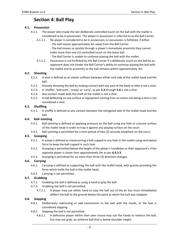# **Section 4: Ball Play**

## **4.1. Possession**

- 4.1.1. The player who made the last deliberate controlled touch on the ball with the mallet is considered to be in possession. The player in possession is referred to as the Ball Carrier.
	- 4.1.1.1. No player is considered to be in possession, or possession is forfeited, if either:
		- ‐ The ball moves approximately 3m away from the Ball Carrier.

‐ The ball moves so quickly through a player's immediate proximity they cannot make more than one (1) controlled touch on the loose ball.

- ‐ The Ball Carrier is unable to continue playing the ball with the mallet.
- 4.1.1.2. Possession is not forfeited by the Ball Carrier if a deliberate touch on the ball by an opponent does not hinder the Ball Carrier's ability to continue playing the ball with the mallet and its proximity to the ball remains within approximately 3m.

## **4.2. Shooting**

- 4.2.1. A shot is defined as an elastic collision between either end‐side of the mallet head and the ball.
- 4.2.2. Actively directing the ball by making contact with any part of the body or bike is not a shot.
- 4.2.3. A 'shuffle', 'ball‐joint', 'scoop' or 'carry', as per **5.3** through **5.6** is not a shot.
- 4.2.4. Any contact made with the shaft of the mallet is not a shot.
- 4.2.5. A ball deflecting on any surface or equipment coming from an action not being a shot is not considered a shot.

## **4.3. Shuffling**

4.3.1. A shuffle is defined as any contact between the elongated side of the mallet head and the ball.

## **4.4. Ball–Jointing**

- 4.4.1. Ball–jointing is defined as applying pressure on the ball using any hole or concave surface of the mallet head in order to trap it against any playing surface on the court.
- 4.4.2. Ball–jointing is permitted for a time period of two (2) seconds anywhere on the court.

## **4.5. Scooping**

- 4.5.1. A scoop is defined as maneuvering a ball cupped in any hole in the mallet using centripetal force to keep the ball cupped in such hole.
- 4.5.2. Scooping is permitted below the height of the player's handlebar or their opponent's if the opposite player is closer than approximately 3m as per **6.4.3.3**.
- 4.5.3. Scooping is permitted for no more than three (3) direction changes.

## **4.6. Carrying**

- 4.6.1. Carrying is defined as supporting the ball with the mallet head, with gravity providing the force which holds the ball in the mallet head.
- 4.6.2. Carrying is not permitted.

# **4.7. Grabbing**

- 4.7.1. Grabbing the ball is defined as using a hand to grip the ball.
- 4.7.2. Grabbing the ball is not permitted.
	- 4.7.2.1. A player may use either hand to stop the ball out of the air but must immediately deflect the ball to the ground below the point at which the ball was stopped.

## **4.8. Slapping**

- 4.8.1. Deliberately redirecting or add momentum to the ball with the hands, or the feet is considered slapping.
- 4.8.2. Slapping the ball is not permitted.
	- 4.8.2.1. A defensive player within their own crease may use the hands to redirect the ball, but may not grab, an airborne ball that is below shoulder height.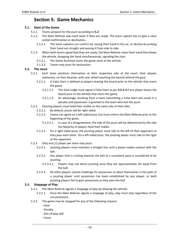# **Section 5: Game Mechanics**

## **5.1. Start of the Game**

- 5.1.1. Teams prepare for the joust according to **5.2**.
- 5.1.2. The Main Referee asks each team if they are ready. The team captain has to give a clear verbal confirmation or declination.
	- 5.1.2.1. The team captains can confirm by raising their hand in the air, or decline by putting their hand out straight and waving it from side to side.
- 5.1.3. When both teams signal that they are ready, the Main Referee raises their hand then blows the whistle, dropping the hand simultaneously, signaling the start.
	- 5.1.3.1. The Game Assistant starts the game clock at the whistle.
	- 5.1.3.2. Teams may joust for possession.

## **5.2. The Joust**

- 5.2.1. Each team positions themselves at their respective side of the court; their players stationary, on their bicycles, with rear wheel touching the boards behind the goal.
	- 5.2.1.1. A False Start is defined as players leaving the board prior to the whistle that starts the game.
		- 5.2.1.1.1. The Goal Judge must signal a False Start as per **3.5.2.3** if any player leaves the board prior to the whistle that starts the game.
		- 5.2.1.1.2. An advantage resulting from a team committing a False Start will result in a penalty and possession is granted to the team who lost the joust.
- 5.2.2. Jousting players must hold their mallet on the same side of their bike.
	- 5.2.2.1. By default, jousts will be right‐sided.
	- 5.2.2.2. Teams can agree on a left-sided joust, but must inform the Main Referee prior to the beginning of the game.
		- 5.2.2.2.1. In case of a disagreement, the side of the joust will be determined by the side the Majority of players hold their mallet.
	- 5.2.2.3. On a right-sided joust, the jousting player must ride to the left of their opponent as they pass each other. On a left‐sided joust, the jousting player must ride to the right of the opponent.
- 5.2.3. Only one (1) player per team may joust.
	- 5.2.3.1. Jousting players must maintain a straight line until a player makes contact with the ball.
	- 5.2.3.2. Any player that is rushing towards the ball at a consistent pace is considered to be jousting.
		- 5.2.3.2.1. Players may not desist jousting once they are approximately 3m away from the ball.
	- 5.2.3.3. All other players cannot challenge for possession or place themselves in the path of a jousting player until possession has been established by one player, or both jousting players fail to gain possession as they pass the ball.

## **5.3. Stoppage of Play**

- 5.3.1. The Main Referee signals a stoppage of play by blowing the whistle.
	- 5.3.1.1. Once the Main Referee signals a stoppage of play, play must stop regardless of the circumstances.
- 5.3.2. The game may be stopped for any of the following reasons:
	- ‐ Goal
	- ‐ Penalty
	- ‐ Out‐of‐play ball
	- ‐ Injury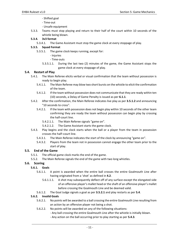- ‐ Shifted goal
- ‐ Time‐out
- ‐ Unsafe equipment
- 5.3.3. Teams must stop playing and return to their half of the court within 10 seconds of the whistle being blown.
- **5.3.4. 3v3 format** 
	- 5.3.4.1. The Game Assistant must stop the game clock at every stoppage of play.

#### **5.3.5. Squad Format**

- 5.3.5.1. The game clock keeps running, except for:
	- ‐ Injuries
	- ‐ Time‐outs
	- 5.3.5.1.1. During the last two (2) minutes of the game, the Game Assistant stops the game clock at every stoppage of play.

## **5.4. Restart of Play**

- 5.4.1. The Main Referee elicits verbal or visual confirmation that the team without possession is ready to begin play.
	- 5.4.1.1. The Main Referee may blow two short bursts on the whistle to elicit the confirmation of the team.
	- 5.4.1.2. If the team without possession does not communicate that they are ready within ten (10) seconds, a Delay of Game Penalty is issued as per **6.1.1**.
- 5.4.2. After the confirmation, the Main Referee indicates live play as per **3.5.1.2** and announcing "10 seconds to cross".
	- 5.4.2.1. If the team with possession does not begin play within 10 seconds of the other team confirming they are ready the team without possession can begin play by crossing the half‐court line.
		- 5.4.2.1.1. The Main Referee signals "game on".
		- 5.4.2.1.2. The Game Assistant starts the game clock.
- 5.4.3. Play begins and the clock starts when the ball or a player from the team in possession crosses the half–court line.
	- 5.4.3.1. The Main Referee indicates the start of the clock by announcing "game on".
	- 5.4.3.2. Players from the team not in possession cannot engage the other team prior to the start of play.

## **5.5. End of the Game**

- 5.5.1. The official game clock marks the end of the game.
- 5.5.2. The Main Referee signals the end of the game with two long whistles.

## **5.6. Scoring**

## **5.6.1. Goals**

- 5.6.1.1. A point is awarded when the entire ball crosses the entire Goalmouth Line after having originated from a 'shot' as defined in **4.2**.
	- 5.6.1.1.1. A shot may subsequently deflect off of any surface except the elongated side of an offensive player's mallet head or the shaft of an offensive player's mallet before crossing the Goalmouth Line and be deemed valid.
- 5.6.1.2. The Goal Judge signals a goal as per **3.5.2.1** and play restarts as per **5.4**.

# **5.6.2. Invalid Goals**

- 5.6.2.1. No points will be awarded to a ball crossing the entire Goalmouth Line resulting from an action by an offensive player not being a shot.
- 5.6.2.2. No points will be awarded on any of the following situations:
	- ‐ Any ball crossing the entire Goalmouth Line after the whistle is initially blown.
	- ‐ Any action on the ball occurring prior to play starting as per **5.4.3**.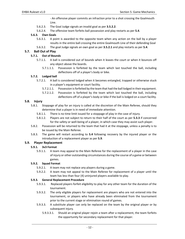‐ An offensive player commits an infraction prior to a shot crossing the Goalmouth Line.

- 5.6.2.3. The Goal Judge signals an invalid goal as per **3.5.2.2**.
- 5.6.2.4. The offensive team forfeits ball possession and play restarts as per **5.4**.

#### **5.6.3. Own Goals**

- 5.6.3.1. A point is awarded to the opposite team when any action on the ball by a player results in the entire ball crossing the entire Goalmouth Line of their defending Goal
- 5.6.3.2. The goal Judge signals an own goal as per **3.5.2.1** and play restarts as per **5.4**.

# **5.7. Ball Out of Play**

## **5.7.1. Out of Bounds**

- 5.7.1.1. A ball is considered out of bounds when it leaves the court or when it bounces off any object above the boards.
	- 5.7.1.1.1. Possession is forfeited by the team which last touched the ball, including deflections off of a player's body or bike.

## **5.7.2. Lodged ball**

- 5.7.2.1. A ball is considered lodged when it becomes entangled, trapped or otherwise stuck in a player's equipment or court facility.
	- 5.7.2.1.1. Possession is forfeited by the team that had the ball lodged in their equipment.
	- 5.7.2.1.2. Possession is forfeited by the team which last touched the ball, including deflections off of a player's body or bike if the ball is lodged on a court facility.

# **5.8. Injury**

- 5.8.1. Stoppage of play for an injury is called at the discretion of the Main Referee, should they determine that a player is in need of immediate attention.
	- 5.8.1.1. There is no time limit issued for a stoppage of play in the case of injury.
	- 5.8.1.2. Players are not subject to return to their half of the court as per **5.3.3** if concerned for the safety or well-being of a player, in which case they may assist such player.
- 5.8.2. Possession will be returned to the team that had it at the stoppage, unless a penalty is to be issued by the Main Referee.
- 5.8.3. The game will restart according to **5.4** following recovery by the injured player or the introduction of a replacement player as per **5.9**.

# **5.9. Player Replacement**

## **5.9.1. 3v3 Format**

5.9.1.1. A team may appeal to the Main Referee for the replacement of a player in the case of injury or other outstanding circumstances during the course of a game or between games.

## **5.9.2. Squad Format**

- 5.9.2.1. A team may not replace any players during a game.
- 5.9.2.2. A team may not appeal to the Main Referee for replacement of a player until the team has less than four (4) uninjured players available to play.

## **5.9.3. General Replacement Procedure**

- 5.9.3.1. Replaced players forfeit eligibility to play for any other team for the duration of the tournament.
- 5.9.3.2. The only eligible players for replacement are players who are not entered into the tournament, or players who have already been eliminated from the tournament prior to the current stage or elimination round of games.
- 5.9.3.3. A substitute player can only be replaced on the team by the original player or by subsequent injury.
	- 5.9.3.3.1. Should an original player rejoin a team after a replacement, the team forfeits the opportunity for secondary replacement for that player.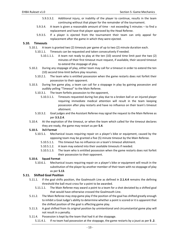- 5.9.3.3.2. Additional injury, or inability of the player to continue, results in the team continuing without that player for the remainder of the tournament.
- 5.9.3.4. A team is given a reasonable amount of time ‐ not exceeding 5 minutes to find a replacement and have that player approved by the Head Referee.
- 5.9.3.5. If a player is ejected from the tournament their team can only appeal for replacement after the game in which they were ejected.

## **5.10. Timeouts**

- 5.10.1. A team is granted two (2) timeouts per game of up to two (2) minute duration each.
	- 5.10.1.1. Timeouts can be requested and taken consecutively if needed.
		- 5.10.1.1.1. A team not ready to play at the ten (10) second time limit past the two (2) minutes of their first timeout must request, if available, their second timeout to extend the stoppage of play.
- 5.10.2. During any stoppage of play, either team may call for a timeout in order to extend the ten (10) second time‐limit before play resumes.
	- 5.10.2.1. The team who is entitled possession when the game restarts does not forfeit their possession to their opponent.
- 5.10.3. During live game play, a team can call for a stoppage in play by gaining possession and audibly yelling "Timeout" to the Main Referee.
	- 5.10.3.1. The team forfeits possession to the opponent,
		- 5.10.3.1.1. Timeouts requested during live play due to a broken ball or an injured player requiring immediate medical attention will result in the team keeping possession after play restarts and have no influence on their team's timeout allotment.
	- 5.10.3.2. Goal judges and the Assistant Referee may signal the request to the Main Referee as per **3.5.2.4**.
- 5.10.4. At the expiration of the timeout, or when the team which called for the timeout declares they are ready, the game may restart as per **5.4**.

## **5.10.5. 3v3 Format**

- 5.10.5.1. Mechanical issues requiring repair on a player's bike or equipment, caused by the opposing team may be granted a five (5) minute timeout by the Main Referee.
	- 5.10.5.1.1. This timeout has no influence on a team's timeout allotment.
	- 5.10.5.1.2. A team may extend into their available timeouts if needed.
	- 5.10.5.1.3. The team who is entitled possession when the game restarts does not forfeit their possession to their opponent.

## **5.10.6. Squad Format**

5.10.6.1. Mechanical issues requiring repair on a player's bike or equipment will result in the substitution of the player by another member of their team with no stoppage of play as per **5.13**.

## **5.11. Shifted Goal Position**

- 5.11.1. If the goal shifts position, the Goalmouth Line as defined in **2.1.4.4** remains the defining threshold the ball must cross for a point to be awarded.
	- 5.11.1.1. The Main Referee may award a point to a team for a shot deviated by a shifted goal that would have otherwise crossed the Goalmouth Line.
- 5.11.2. The Main Referee may stop game play if the position of the goal has shifted greatly enough to inhibit a Goal Judge's ability to determine whether a point is scored or it is apparent that the shifted position of the goal is affecting game play.
- 5.11.3. A goal shifted from its original position by unintentional and circumstantial game play will not result in a penalty.
- 5.11.4. Possession is kept by the team that had it at the stoppage.
	- 5.11.4.1. If no team had possession at the stoppage, the game restarts by a joust as per **5 .2**.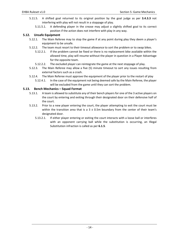- 5.11.5. A shifted goal returned to its original position by the goal judge as per **3.4.3.3** not interfering with play will not result in a stoppage of play.
	- 5.11.5.1. A defending player in the crease may adjust a slightly shifted goal to its correct position if the action does not interfere with play in any way.

## **5.12. Unsafe Equipment**

- 5.12.1. The Main Referee may to stop the game if at any point during play they deem a player's equipment to be unsafe.
- 5.12.2. The team must resort to their timeout allowance to sort the problem or to swap bikes.
	- 5.12.2.1. If the problem cannot be fixed or there is no replacement bike available within the allowed time, play will resume without the player in question in a Player Advantage for the opposite team.
	- 5.12.2.2. The excluded player can reintegrate the game at the next stoppage of play.
- 5.12.3. The Main Referee may allow a five (5) minute timeout to sort any issues resulting from external factors such as a crash.
- 5.12.4. The Main Referee must approve the equipment of the player prior to the restart of play
	- 5.12.4.1. In the case of the equipment not being deemed safe by the Main Referee, the player will be excluded from the game until they can sort the problem.

## **5.13. Bench Mechanics – Squad Format**

- 5.13.1. A team is allowed to substitute any of their bench players for one of the 3 active players on the court by entering and exiting through their designated door on their defensive half of the court.
- 5.13.2. Prior to a new player entering the court, the player attempting to exit the court must be within the transition area that is a  $3 \pm 0.5$ m boundary from the center of their team's designated door.
	- 5.13.2.1. If either player entering or exiting the court interacts with a loose ball or interferes with an opponent carrying ball while the substitution is occurring, an Illegal Substitution infraction is called as per **6.1.5**.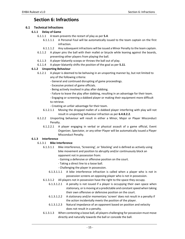# **Section 6: Infractions**

## **6.1 Technical Infractions**

## **6.1.1 Delay of Game**

- 6.1.1.1 A team prevents the restart of play as per **5.4**.
	- 6.1.1.1.1 A Personal Foul will be automatically issued to the team captain on the first infraction.
	- 6.1.1.1.2 Any subsequent infractions will be issued a Minor Penalty to the team captain.
- 6.1.1.2 A player pins the ball with their mallet or bicycle while leaning against the boards, preventing other players from playing the ball.
- 6.1.1.3 A player blatantly scoops or throws the ball out of play.
- 6.1.1.4 A player blatantly shifts the position of the goal as per **5.11**.

## **6.1.2 Unsporting Behaviour**

- 6.1.2.1 A player is deemed to be behaving in an unsporting manner by, but not limited to any of the following criteria:
	- ‐ General and continued disrupting of game proceedings.
	- ‐ Excessive protest of game officials.
	- ‐ Being actively involved in play after dabbing.
	- ‐ Failure to leave the play after dabbing, resulting in an advantage for their team.
	- ‐ Engaging or screening a dabbed player or making their equipment more difficult to retrieve.
	- ‐ Creating an unfair advantage for their team.
	- 6.1.2.1.1 Moving the dropped mallet of a dabbed player interfering with play will not result in unsporting behaviour infraction as per **6.4.8.2.2**.
- 6.1.2.2 Unsporting behaviour will result in either a Minor, Major or Player Misconduct Penalty.
	- 6.1.2.2.1 A player engaging in verbal or physical assault of a game official, Event Organizer, Spectator, or any other Player will be automatically issued a Player Misconduct Penalty.

## **6.1.3 Interference**

#### 6.1.3.1 **Bike Interference**

- 6.1.3.1.1 Bike interference, 'Screening', or 'blocking' and is defined as actively using bike movement and position to abruptly and/or continuously block an opponent not in possession from:
	- ‐ Gaining a defensive or offensive position on the court.
	- ‐ Taking a direct line to a loose ball.
	- ‐ Challenging the player in possession.
	- 6.1.3.1.1.1 A bike interference infraction is called when a player who is not in possession screens an opposing player who is not in possession.
- 6.1.3.1.2 All players not in possession have the right to the space they occupy.
	- 6.1.3.1.2.1 A penalty is not issued if a player is occupying their own space when stationary, or is moving at a predictable and constant speed when taking their own offensive or defensive position on the court.
	- 6.1.3.1.2.2 A stationary and/or momentary 'screen' does not result in a penalty if the action incidentally meets the position of the player.
	- 6.1.3.1.2.3 Natural impedance of an opponent based on position and velocity does not result in a penalty.
- 6.1.3.1.3 When contesting a loose ball, all players challenging for possession must move directly and naturally towards the ball or concede the ball.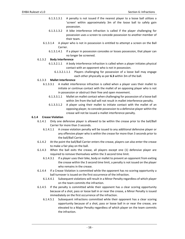- 6.1.3.1.3.1 A penalty is not issued if the nearest player to a loose ball utilizes a 'screen' within approximately 3m of the loose ball to safely gain possession.
- 6.1.3.1.3.2 A bike interference infraction is called if the player challenging for possession uses a screen to concede possession to another member of their team.
- 6.1.3.1.4 A player who is not in possession is entitled to attempt a screen on the Ball Carrier.
	- 6.1.3.1.4.1 If a player in possession concedes or losses possession, that player can no longer be screened.

## 6.1.3.2 **Body Interference**

- 6.1.3.2.1.1 A body interference infraction is called when a player initiates physical contact with an opponent who is not in possession.
	- 6.1.3.2.1.1.1 Players challenging for possession of a loose ball may engage each other physically as per **6.3** within 3m of the ball.

## 6.1.3.3 **Mallet Interference**

- 6.1.3.3.1 A mallet interference infraction is called when a player uses their mallet to initiate or continue contact with the mallet of an opposing player who is not in possession or obstruct their free and open movement.
	- 6.1.3.3.1.1 Mallet on mallet contact when challenging for possession of a loose ball within 3m from the ball will not result in mallet interference penalty.
	- 6.1.3.3.1.2 A player using their mallet to initiate contact with the mallet of an opposing player, to concede possession to a defensive player within the crease will not be issued a mallet interference penalty.

## **6.1.4 Crease Violation**

- 6.1.4.1 Only one defensive player is allowed to be within the crease prior to the ball/Ball Carrier for more than 3 seconds.
	- 6.1.4.1.1 A crease violation penalty will be issued to any additional defensive player or any offensive player who is within the crease for more than 3 seconds prior to the ball/Ball Carrier.
- 6.1.4.2 At the point the ball/Ball Carrier enters the crease, players can also enter the crease to make a fair play on the ball.
- 6.1.4.3 When the ball exits the crease, all players except one (1) defensive player are required to remove themselves within the 3 second time limit.
	- 6.1.4.3.1 If a player uses their bike, body or mallet to prevent an opponent from exiting the crease within the 3 second time limit, a penalty is not issued on the player who remains in the crease.
- 6.1.4.4 If a Crease Violation is committed while the opponent has no scoring opportunity a ball turnover is issued on the first occurrence of the infraction.
	- 6.1.4.4.1 Subsequent violations will result in a Minor Penalty regardless of which player on the team commits the infraction.
- 6.1.4.5 If the penalty is committed while their opponent has a clear scoring opportunity because of a shot, pass or loose ball in or near the crease, a Minor Penalty is issued immediately on the first occurrence of the infraction.
	- 6.1.4.5.1 Subsequent infractions committed while their opponent has a clear scoring opportunity because of a shot, pass or loose ball in or near the crease, are elevated to a Major Penalty regardless of which player on the team commits the infraction.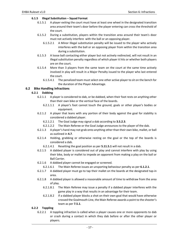#### **6.1.5 Illegal Substitution – Squad Format**

- 6.1.5.1 A player exiting the court must have at least one wheel in the designated transition area around their team's door before the player entering can cross the threshold of the court.
- 6.1.5.2 During a substitution, players within the transition area around their team's door must not actively interfere with the ball or an opposing player.
	- 6.1.5.2.1 A Minor Illegal substitution penalty will be issued to the player who actively interferes with the ball or an opposing player from within the transition area during a substitution.
- 6.1.5.3 A loose ball contacting either player but not actively redirected, will not result in an illegal substitution penalty regardless of which player it hits or whether both players are on the court.
- 6.1.5.4 More than 3 players from the same team on the court at the same time actively involved in play will result in a Major Penalty issued to the player who last entered the court.
	- 6.1.5.4.1 The penalized team must select one other active player to sit on the bench for the duration of the Player Advantage.

## **6.2 Bike Handling Infractions**

#### **6.2.1 Dabbing**

- 6.2.1.1 A player is considered to dab, or be dabbed, when their foot rests on anything other than their own bike or the vertical face of the boards.
	- 6.2.1.1.1 A player's foot cannot touch the ground, goals or other player's bodies or equipment.
- 6.2.1.2 A player that leans with any portion of their body against the goal for stability is considered a dabbed player.
	- 6.2.1.2.1 The Goal Judge may signal a dab according to **3.5.2.3**.
	- 6.2.1.2.2 The Main Referee or the Goal Judge announces to the player of the dab.
- 6.2.1.3 A player's hand may not grab onto anything other than their own bike, mallet, or ball as outlined in **4.7**.
- 6.2.1.4 Holding, grabbing or otherwise resting on the goal or the top of the boards is considered a dab.
	- 6.2.1.4.1 Resetting the goal position as per **5.11.5.1** will not result in a dab.
- 6.2.1.5 A dabbed player is considered out of play and cannot interfere with play by using their bike, body or mallet to impede an opponent from making a play on the ball or Ball Carrier.
- 6.2.1.6 A dabbed player cannot be engaged or screened.
	- 6.2.1.6.1 The Main Referee issues an unsporting behaviour penalty as per **6.1.2.1**.
- 6.2.1.7 A dabbed player must go to tap their mallet on the boards at the designated tap‐in area.
- 6.2.1.8 A dabbed player is allowed a reasonable amount of time to withdraw from the area of play.
	- 6.2.1.8.1 The Main Referee may issue a penalty if a dabbed player interferes with the game play in a way that results in an advantage for their team.
	- 6.2.1.8.2 If a dabbed player blocks a shot on their own goal that would have otherwise crossed the Goalmouth Line, the Main Referee awards a point to the shooter's team as per **7.5.1**.

#### **6.2.2 Toppling**

6.2.2.1 A toppling infraction is called when a player causes one or more opponents to dab or crash during a contact in which they dab before or after the other player or players.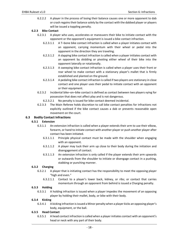6.2.2.2 A player in the process of losing their balance causes one or more opponent to dab or crash regains their balance solely by the contact with the dabbed player or players will be issued a toppling penalty.

## **6.2.3 Bike Contact**

- 6.2.3.1 A player who uses, accelerates or maneuvers their bike to initiate contact with the opponent or the opponent's equipment is issued a bike contact infraction.
	- 6.2.3.1.1 A T–bone bike contact infraction is called when a player initiates contact with an opponent, carrying momentum with their wheel or pedal into the opponent in the direction they are traveling.
	- 6.2.3.1.2 A slapping bike contact infraction is called when a player initiates contact with an opponent by skidding or pivoting either wheel of their bike into the opponent laterally or rotationally.
	- 6.2.3.1.3 A sweeping bike contact infraction is called when a player uses their front or rear wheel to make contact with a stationary player's mallet that is firmly established and planted on the ground.
	- 6.2.3.1.4 A pedaling bike contact infraction is called if two players are stationary in close contact and one player uses their pedal to initiate contact with an opponent or their equipment.
- 6.2.3.2 Incidental bike–on–bike contact is defined as contact between two players vying for possession that does not affect play and is not dangerous.
	- 6.2.3.2.1 No penalty is issued for bike contact deemed incidental.
- 6.2.3.3 The Main Referee holds discretion to call bike contact penalties for infractions not explicitly outlined if the bike contact causes a dab or prevents reasonable open movement on the court.

## **6.3 Bodily Contact Infractions**

## **6.3.1 Extension**

- 6.3.1.1 An extension infraction is called when a player extends their arm to use their elbow, forearm, or hand to initiate contact with another player or push another player after contact has been initiated.
	- 6.3.1.1.1 Principle physical contact must be made with the shoulder when engaging with an opponent.
	- 6.3.1.1.2 A player may tuck their arm up close to their body during the initiation and disengagement of contact.
	- 6.3.1.1.3 An extension infraction is only called if the player extends their arm upwards or outwards from the shoulder to initiate or disengage contact in a pushing, stabbing or punching manner.

## **6.3.2 Charging**

- 6.3.2.1 A player that is initiating contact has the responsibility to meet the opposing player "high and even."
	- 6.3.2.1.1 Contact to a player's lower back, kidney, or ribs; or contact that carries momentum through an opponent from behind is issued a Charging penalty.

## **6.3.3 Holding**

6.3.3.1 A holding infraction is issued when a player impedes the movement of an opposing player by holding their mallet, body, or bike with their body.

## **6.3.4 Kicking**

6.3.4.1 A kicking infraction is issued a Minor penalty when a player kicks an opposing player's body, equipment, or the ball.

## **6.3.5 Head Contact**

6.3.5.1 A head contact infraction is called when a player initiates contact with an opponent's head or neck with any part of their body.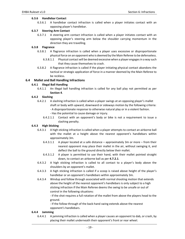## **6.3.6 Handlebar Contact**

6.3.6.1 A handlebar contact infraction is called when a player initiates contact with an opposing player's handlebar.

## **6.3.7 Steering Arm Contact**

6.3.7.1 A steering arm contact infraction is called when a player initiates contact with an opposing player's steering arm below the shoulder carrying momentum in the direction they are travelling.

## **6.3.8 Flagrance**

- 6.3.8.1 A flagrance infraction is called when a player uses excessive or disproportionate physical force on an opponent who is deemed by the Main Referee to be defenseless.
	- 6.3.8.1.1 Physical contact will be deemed excessive when a player engages in a way such that they cause themselves to crash.
- 6.3.8.2 A flagrance infraction is called if the player initiating physical contact abandons the tactical or strategic application of force in a manner deemed by the Main Referee to be reckless.

## **6.4 Mallet and Ball Handling Infractions**

## **6.4.1 Illegal Ball Handling**

6.4.1.1 An illegal ball handling infraction is called for any ball play not permitted as per **Section 4**.

# **6.4.2 Slashing**

- 6.4.2.1 A slashing infraction is called when a player swings at an opposing player's mallet shaft or body with upward, downward or sideways motion by the following criteria: ‐ A disproportionate response to otherwise natural play or in a violent fashion. ‐ Has the potential to cause damage or injury.
	- 6.4.2.1.1 Contact with an opponent's body or bike is not a requirement to issue a slashing penalty.

## **6.4.3 High Sticking**

- 6.4.3.1 A high sticking infraction is called when a player attempts to contact an airborne ball with the mallet at a height above the nearest opponent's handlebars within approximately 3m.
	- 6.4.3.1.1 A player located at a safe distance approximately 3m or more from their nearest opponent may place their mallet in the air, without swinging it, and deflect the ball to the ground directly below their mallet.
	- 6.4.3.1.2 A player is permitted to use their hand, with their mallet pointed straight down, to contact an airborne ball as per **4.7.2.1**.
- 6.4.3.2 A high sticking infraction is called to all contact to a player's body above the shoulders by an opponent's mallet.
- 6.4.3.3 A high sticking infraction is called if a scoop is raised above height of the player's handlebar or an opponent's handlebars within approximately 3m.
- 6.4.3.4 Windup and follow through associated with normal shooting motion that extends above the height of the nearest opponent's handlebars is only subject to a high sticking infraction if the Main Referee deems the swing to be unsafe or out of control in the following situations:

‐ If the shot requires a full rotation of the mallet from above the players head to the ground.

‐ If the follow‐through of the back‐hand swing extends above the nearest opponent's handlebars.

#### **6.4.4 Jamming**

6.4.4.1 A jamming infraction is called when a player causes an opponent to dab, or crash, by placing their mallet underneath their opponent's front or rear wheel.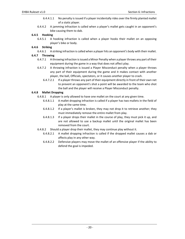- 6.4.4.1.1 No penalty is issued if a player incidentally rides over the firmly planted mallet of a static player.
- 6.4.4.2 A jamming infraction is called when a player's mallet gets caught in an opponent's bike causing them to dab.

## **6.4.5 Hooking**

6.4.5.1 A hooking infraction is called when a player hooks their mallet on an opposing player's bike or body.

# **6.4.6 Striking**

6.4.6.1 A striking infraction is called when a player hits an opponent's body with their mallet.

#### **6.4.7 Throwing**

- 6.4.7.1 A throwing infraction is issued a Minor Penalty when a player throws any part of their equipment during the game in a way that does not affect play.
- 6.4.7.2 A throwing infraction is issued a Player Misconduct penalty when a player throws any part of their equipment during the game and it makes contact with another player, the ball, Officials, spectators, or it causes another player to crash.
	- 6.4.7.2.1 If a player throws any part of their equipment directly in front of their own net to prevent an opponent's shot a point will be awarded to the team who shot the ball and the player will receive a Player Misconduct penalty.

## **6.4.8 Mallet Dropping**

- 6.4.8.1 A player is only allowed to have one mallet on the court at any given time.
	- 6.4.8.1.1 A mallet dropping infraction is called if a player has two mallets in the field of play at the same time.
	- 6.4.8.1.2 If a player's mallet is broken, they may not drop it to retrieve another; they must immediately remove the entire mallet from play.
	- 6.4.8.1.3 If a player drops their mallet in the course of play, they must pick it up, and are not allowed to use a backup mallet until the original mallet has been removed from the court.

6.4.8.2 Should a player drop their mallet, they may continue play without it.

- 6.4.8.2.1 A mallet dropping infraction is called if the dropped mallet causes a dab or affects play in any other way.
- 6.4.8.2.2 Defensive players may move the mallet of an offensive player if the ability to defend the goal is impeded.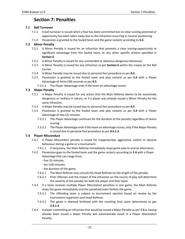# **Section 7: Penalties**

## **7.1 Ball Turnover**

- 7.1.1 A ball turnover is issued when a foul has been committed but no clear scoring potential or opportunity has been taken away due to the infraction occurring in neutral positioning.
- 7.1.2 Possession is granted to the fouled team and the game restarts according to **5.4**.

# **7.2 Minor Penalty**

- 7.2.1 A Minor Penalty is issued for an infraction that prevents a clear scoring-opportunity or significant advantage from the fouled team, or any other specific actions specified in **Section 6**.
- 7.2.2 A Minor Penalty is issued for any unintended or oblivious dangerous behaviour.
- 7.2.3 A Minor Penalty is issued for any infraction as per **Section 6** within the crease on the Ball Carrier.
- 7.2.4 A Minor Penalty may be issued due to personal foul procedure as per **8.5**.
- 7.2.5 Possession is granted to the fouled team and play restarts as per **5.4** with a Player Advantage of thirty (30) seconds as per **8.5**.
	- 7.2.5.1 The Player Advantage ends if the team on advantage scores.

# **7.3 Major Penalty**

- 7.3.1 A Major Penalty is issued for any action that the Main Referee deems to be excessively dangerous or reckless in nature, or if a player was already issued a Minor Penalty for the same infraction.
- 7.3.2 A Major Penalty may be issued due to personal foul procedure as per **8.5**.
- 7.3.3 Possession is granted to the fouled team and play restarts as per **5.4** with a Player Advantage of two (2) minutes.
	- 7.3.3.1 The Player Advantage continues for the duration of the penalty regardless of teams scoring.
	- 7.3.3.2 The Player Advantage ends if the team on advantage scores, only if the Major Penalty is issued due to personal foul procedure as per **8.6.1.2**.

## **7.4 Player Misconduct**

- 7.4.1 A Player Misconduct penalty is issued for inappropriate, aggressive, violent or abusive behaviour during a game or a tournament.
	- 7.4.1.1 If necessary, the Main Referee immediately stops game play to end an altercation.
- 7.4.2 Possession goes to the fouled team and the game restarts according to **5.4** with a Player Advantage that can range from:
	- ‐ five (5) minutes.
	- ‐ ten (10) minutes.
	- ‐ the duration of the game.
	- 7.4.2.1 The Main Referee may consult the Head Referee on the length of the penalty.
	- 7.4.2.2 Prior offenses and the impact of the infraction on the course of play will determine the severity of the penalty for both the player and their team.
- 7.4.3 If a team receives multiple Player Misconduct penalties in one game, the Main Referee stops the game immediately and the penalized team forfeits the game.
	- 7.4.3.1 The offending team is subject to tournament ejection based on review by the tournament organizers and Head Referee.
	- 7.4.3.2 The game is deemed forfeited with the resulting final score determined as per **3.4.1.4**.
- 7.4.4 A player committing an infraction that would be issued a Major Penalty as per **7.3.1**, having already been issued a Major Penalty will automatically result in a Player Misconduct Penalty.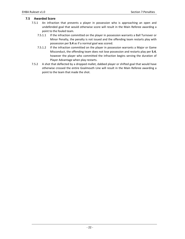# **7.5 Awarded Score**

- 7.5.1 An infraction that prevents a player in possession who is approaching an open and undefended goal that would otherwise score will result in the Main Referee awarding a point to the fouled team.
	- 7.5.1.1 If the infraction committed on the player in possession warrants a Ball Turnover or Minor Penalty, the penalty is not issued and the offending team restarts play with possession per **5.4** as if a normal goal was scored.
	- 7.5.1.2 If the infraction committed on the player in possession warrants a Major or Game Misconduct, the offending team does not lose possession and restarts play per **5.4**, however the player who committed the infraction begins serving the duration of Player Advantage when play restarts.
- 7.5.2 A shot that deflected by a dropped mallet, dabbed player or shifted goal that would have otherwise crossed the entire Goalmouth Line will result in the Main Referee awarding a point to the team that made the shot.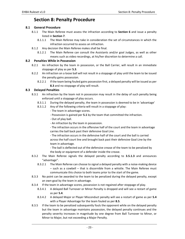# **Section 8: Penalty Procedure**

## **8.1 General Procedure**

- 8.1.1 The Main Referee must assess the infraction according to **Section 6** and issue a penalty listed in **Section 7**.
	- 8.1.1.1 The Main Referee may take in consideration the set of circumstances in which the infraction occurred to assess an infraction.
- 8.1.2 Any decision the Main Referee makes shall be final.
	- 8.1.2.1 The Main Referee can consult the Assistants and/or goal Judges, as well as other means such as video recordings, at his/her discretion to determine a call.

## **8.2 Penalties While in Possession**

- 8.2.1 An infraction by the team in possession, or the Ball Carrier, will result in an immediate stoppage of play as per **5.3**.
- 8.2.2 An infraction on a loose ball will not result in a stoppage of play until the team to be issued the penalty gains possession.
	- 8.2.2.1 If the team being fouled gains possession first, a delayed penalty will be issued as per **8.3** and no stoppage of play will result.

## **8.3 Delayed Penalties**

- 8.3.1 An infraction by the team not in possession may result in the delay of such penalty being enforced until a stoppage of play occurs.
	- 8.3.1.1 During the delayed penalty, the team in possession is deemed to be in 'advantage'
	- 8.3.1.2 Any of the following criteria will result in a stoppage of play:
		- ‐ The team in advantage scores.
		- ‐ Possession is gained per **5.1** by the team that committed the infraction.
		- ‐ Out of play ball.
		- ‐ An infraction by the team in possession.
		- ‐ The infraction occurs in the offensive half of the court and the team in advantage carries the ball back past their defensive Goal Line.
		- ‐ The infraction occurs in the defensive half of the court and the ball is carried across the half court line and brought back past their defensive Goal Line by the team in advantage.
		- ‐ The ball is deflected out of the defensive crease of the team to be penalized by the body or equipment of a defender inside the crease.
- 8.3.2 The Main Referee signals the delayed penalty according to **3.5.1.3** and announces "advantage".
	- 8.3.2.1 The Main Referee can choose to signal a delayed penalty with a noise-making device – such as a cowbell – that is discernible from a whistle. The Main Referee must communicate this choice to both teams prior to the start of the game.
- 8.3.3 No point can be awarded to the team to be penalized during the delayed penalty, except an own‐goal by the team in advantage.
- 8.3.4 If the team in advantage scores, possession is not regained after stoppage of play.
	- 8.3.4.1 A delayed Ball Turnover or Minor Penalty is dropped and will see a restart of game as per **5.4**.
	- 8.3.4.2 A delayed Major or Player Misconduct penalty will see a restart of game as per **5.4** with a Player Advantage for the team fouled as per **8.5**.
- 8.3.5 If the team to be penalized subsequently fouls the opponent while on the delayed penalty but the team in advantage maintains possession, the delayed penalty continues and the penalty severity increases in magnitude by one degree from Ball Turnover to Minor, or Minor to Major, but not exceeding a Major Penalty.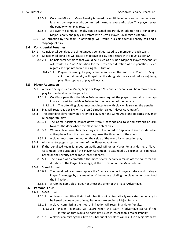- 8.3.5.1 Only one Minor or Major Penalty is issued for multiple infractions on one team and is served by the player who committed the more severe infraction. This player serves the penalty when play restarts.
- 8.3.5.2 A Player Misconduct Penalty can be issued separately in addition to a Minor or a Major Penalty and play can restart with a 3 vs 1 Player Advantage as per **8.5**.
- 8.3.6 An infraction by the team in advantage will result in a coincidental penalty call and a stoppage of play.

## **8.4 Coincidental Penalties**

- 8.4.1 Coincidental penalties are simultaneous penalties issued to a member of each team.
- 8.4.2 Coincidental penalties will cause a stoppage of play and restart with a joust as per **5.4**.
	- 8.4.2.1 Coincidental penalties that would be issued as a Minor, Major or Player Misconduct will result in a 2-on-2 situation for the prescribed duration of the penalties issued regardless of points scored during this situation.
		- 8.4.2.1.1 Players returning to play simultaneously at the end of a Minor or Major coincidental penalty will tap-in at the designated area and before rejoining play. No stoppage of play will occur.

#### **8.5 Player Advantage**

- 8.5.1 A player being issued a Minor, Major or Player Misconduct penalty will be removed from play for the duration of the penalty.
	- 8.5.1.1 On Minor penalties, the Main Referee may request the player to remain at the tapin area closest to the Main Referee for the duration of the penalty.
		- 8.5.1.1.1 The offending player must not interfere with play while serving the penalty
- 8.5.2 Play will restart as per 5.4 with a 3-on-2 situation called "Player Advantage".
- 8.5.3 The offending player may only re-enter play when the Game Assistant indicates they may reincorporate play.
	- 8.5.3.1 The Game Assistant counts down from 5 seconds and to 0 and extends an arm towards the door where the player re-enters play.
	- 8.5.3.2 When a player re‐enters play they are not required to 'tap in' and are considered an active player from the moment they cross the threshold of the court.
	- 8.5.3.3 A player must use the door on their side of the court for re-entering play.
- 8.5.4 All game stoppages stop the timer of the Player Advantage.
- 8.5.5 If the penalized team is issued an additional Minor or Major Penalty during a Player Advantage, the duration of the Player Advantage is extended 30 seconds or 2 minutes based on the severity of the most recent penalty.
	- 8.5.5.1 The player who committed the more severe penalty remains off the court for the duration of the Player Advantage, at the discretion of the Main Referee.

#### **8.5.6 Squad format**

- 8.5.6.1 The penalized team may replace the 2 active on-court players before and during a Player Advantage by any member of the team excluding the player who committed the infraction.
- 8.5.6.2 A running game clock does not affect the timer of the Player Advantage.

## **8.6 Personal Fouls**

#### **8.6.1 3v3 Format**

- 8.6.1.1 A player committing their third infraction will automatically escalate the penalty to be issued by one order of magnitude, not exceeding a Major Penalty.
- 8.6.1.2 A player committing their fourth infraction will result in a Major Penalty.
	- 8.6.1.2.1 Player Advantage will expire when the team in advantage scores if the infraction that would be normally issued is lesser than a Major Penalty.
- 8.6.1.3 A player committing their fifth or subsequent penalties will result in a Major Penalty.